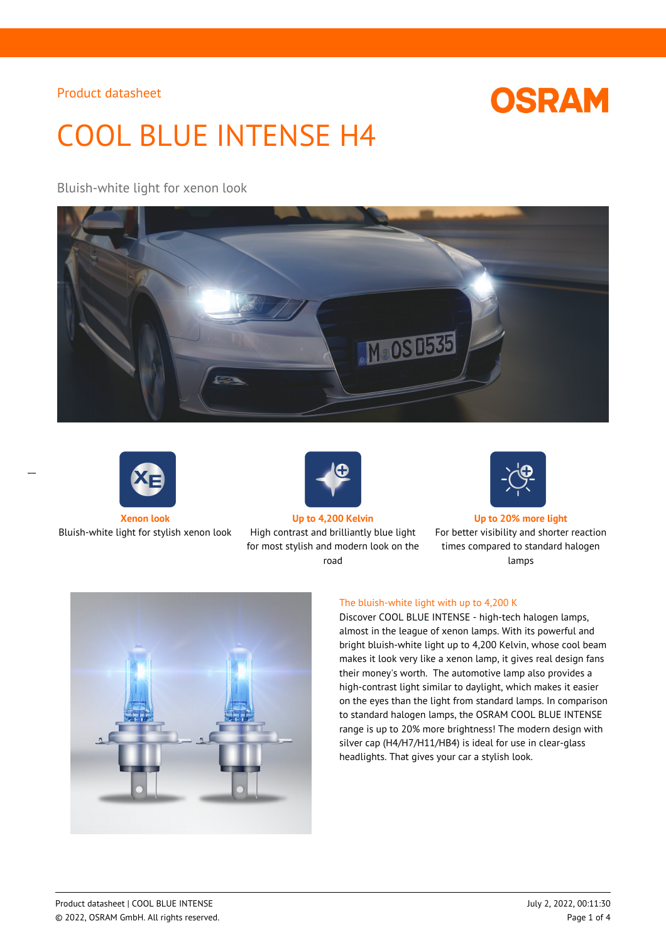# **OSRAM**

# COOL BLUE INTENSE H4

Bluish-white light for xenon look





 $\overline{a}$ 

Bluish-white light for stylish xenon look High contrast and brilliantly blue light



for most stylish and modern look on the road



**Xenon look Up to 4,200 Kelvin Up to 20% more light**

For better visibility and shorter reaction times compared to standard halogen lamps



## The bluish-white light with up to 4,200 K

Discover COOL BLUE INTENSE - high-tech halogen lamps, almost in the league of xenon lamps. With its powerful and bright bluish-white light up to 4,200 Kelvin, whose cool beam makes it look very like a xenon lamp, it gives real design fans their money's worth. The automotive lamp also provides a high-contrast light similar to daylight, which makes it easier on the eyes than the light from standard lamps. In comparison to standard halogen lamps, the OSRAM COOL BLUE INTENSE range is up to 20% more brightness! The modern design with silver cap (H4/H7/H11/HB4) is ideal for use in clear-glass headlights. That gives your car a stylish look.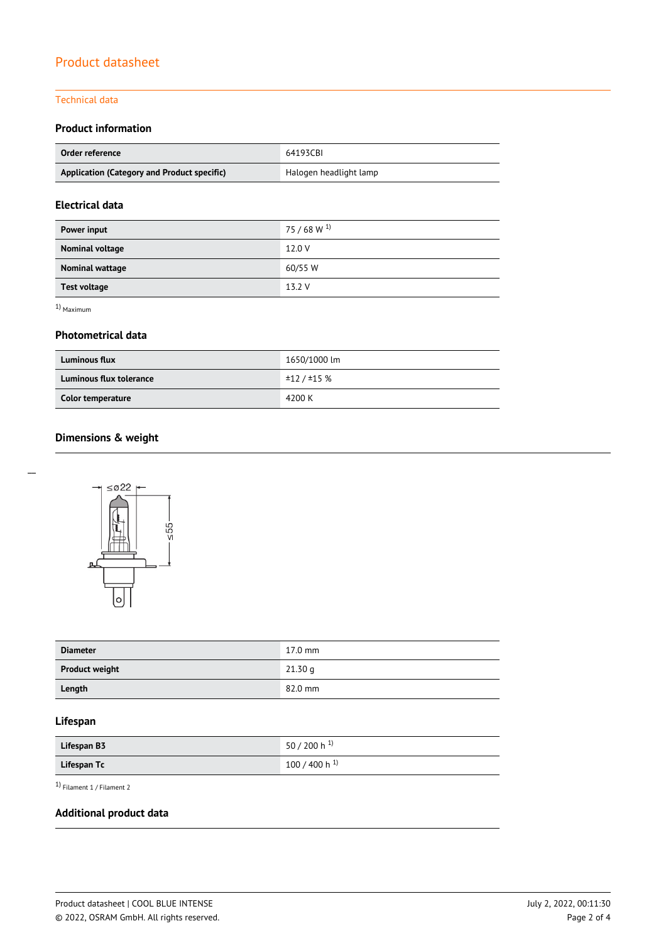### Technical data

## **Product information**

| Order reference                             | 64193CBI               |  |
|---------------------------------------------|------------------------|--|
| Application (Category and Product specific) | Halogen headlight lamp |  |

## **Electrical data**

| Power input            | $75/68 W^{1}$ |
|------------------------|---------------|
| <b>Nominal voltage</b> | 12.0 V        |
| Nominal wattage        | 60/55 W       |
| <b>Test voltage</b>    | 13.2 V        |

1) Maximum

### **Photometrical data**

| <b>Luminous flux</b>    | 1650/1000 lm |
|-------------------------|--------------|
| Luminous flux tolerance | ±12 / ±15 %  |
| Color temperature       | 4200 K       |

# **Dimensions & weight**



| <b>Diameter</b>       | $17.0$ mm |
|-----------------------|-----------|
| <b>Product weight</b> | 21.30q    |
| Length                | 82.0 mm   |

# **Lifespan**

| Lifespan B3 | 50 / 200 h <sup>1)</sup> |
|-------------|--------------------------|
| Lifespan Tc | 100 / 400 h $^{1}$       |

1) Filament 1 / Filament 2

## **Additional product data**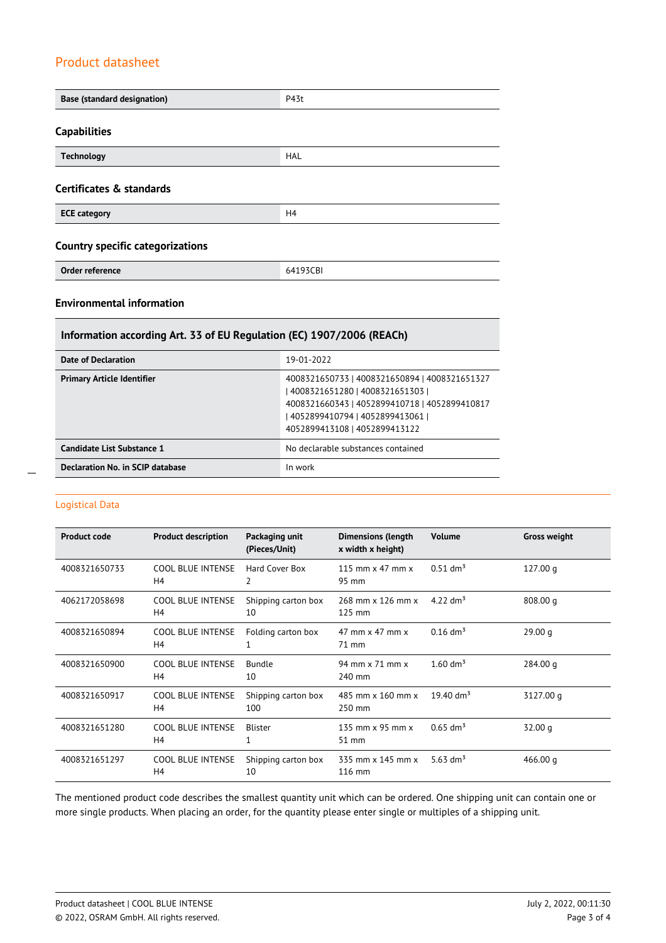| <b>Base (standard designation)</b>      | P43t           |  |
|-----------------------------------------|----------------|--|
|                                         |                |  |
| <b>Capabilities</b>                     |                |  |
| <b>Technology</b>                       | <b>HAL</b>     |  |
| <b>Certificates &amp; standards</b>     |                |  |
| <b>ECE category</b>                     | H <sub>4</sub> |  |
| <b>Country specific categorizations</b> |                |  |
| Order reference                         | 64193CBI       |  |
| <b>Environmental information</b>        |                |  |

## **Information according Art. 33 of EU Regulation (EC) 1907/2006 (REACh)**

| Date of Declaration               | 19-01-2022                                                                                                                                                                                              |
|-----------------------------------|---------------------------------------------------------------------------------------------------------------------------------------------------------------------------------------------------------|
| <b>Primary Article Identifier</b> | 4008321650733   4008321650894   4008321651327<br>4008321651280   4008321651303  <br>4008321660343   4052899410718   4052899410817<br>  4052899410794   4052899413061  <br>4052899413108   4052899413122 |
| Candidate List Substance 1        | No declarable substances contained                                                                                                                                                                      |
| Declaration No. in SCIP database  | In work                                                                                                                                                                                                 |

### Logistical Data

 $\overline{a}$ 

| <b>Product code</b> | <b>Product description</b>                 | Packaging unit<br>(Pieces/Unit) | <b>Dimensions (length</b><br>x width x height) | <b>Volume</b>          | <b>Gross weight</b> |
|---------------------|--------------------------------------------|---------------------------------|------------------------------------------------|------------------------|---------------------|
| 4008321650733       | <b>COOL BLUE INTENSE</b><br>H4             | Hard Cover Box<br>2             | 115 mm $\times$ 47 mm $\times$<br>95 mm        | $0.51$ dm <sup>3</sup> | 127.00q             |
| 4062172058698       | COOL BLUE INTENSE<br>H <sub>4</sub>        | Shipping carton box<br>10       | 268 mm x 126 mm x<br>125 mm                    | 4.22 $\rm{dm^{3}}$     | 808.00 g            |
| 4008321650894       | <b>COOL BLUE INTENSE</b><br>H <sub>4</sub> | Folding carton box              | 47 mm $\times$ 47 mm $\times$<br>71 mm         | $0.16$ dm <sup>3</sup> | 29.00q              |
| 4008321650900       | <b>COOL BLUE INTENSE</b><br>H4             | Bundle<br>10                    | 94 mm x 71 mm x<br>240 mm                      | $1.60 \text{ dm}^3$    | 284.00 g            |
| 4008321650917       | <b>COOL BLUE INTENSE</b><br>H <sub>4</sub> | Shipping carton box<br>100      | 485 mm x 160 mm x<br>250 mm                    | 19.40 $\rm{dm^3}$      | 3127.00 g           |
| 4008321651280       | <b>COOL BLUE INTENSE</b><br>H <sub>4</sub> | <b>Blister</b>                  | 135 mm $\times$ 95 mm $\times$<br>51 mm        | $0.65$ dm <sup>3</sup> | 32.00 q             |
| 4008321651297       | <b>COOL BLUE INTENSE</b><br>H4             | Shipping carton box<br>10       | 335 mm x 145 mm x<br>116 mm                    | 5.63 dm <sup>3</sup>   | 466.00 $q$          |

The mentioned product code describes the smallest quantity unit which can be ordered. One shipping unit can contain one or more single products. When placing an order, for the quantity please enter single or multiples of a shipping unit.